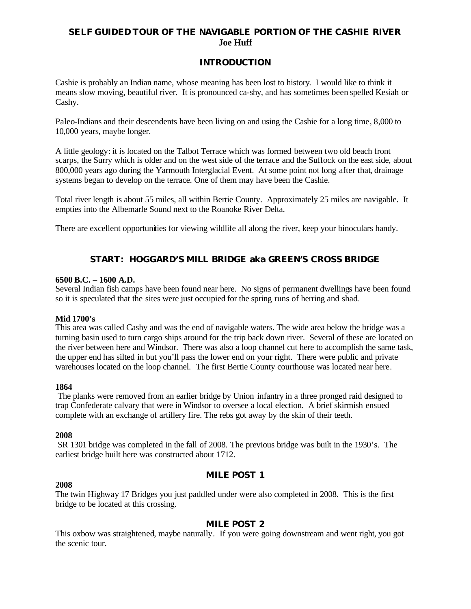# **SELF GUIDED TOUR OF THE NAVIGABLE PORTION OF THE CASHIE RIVER Joe Huff**

# **INTRODUCTION**

Cashie is probably an Indian name, whose meaning has been lost to history. I would like to think it means slow moving, beautiful river. It is pronounced ca-shy, and has sometimes been spelled Kesiah or Cashy.

Paleo-Indians and their descendents have been living on and using the Cashie for a long time, 8,000 to 10,000 years, maybe longer.

A little geology: it is located on the Talbot Terrace which was formed between two old beach front scarps, the Surry which is older and on the west side of the terrace and the Suffock on the east side, about 800,000 years ago during the Yarmouth Interglacial Event. At some point not long after that, drainage systems began to develop on the terrace. One of them may have been the Cashie.

Total river length is about 55 miles, all within Bertie County. Approximately 25 miles are navigable. It empties into the Albemarle Sound next to the Roanoke River Delta.

There are excellent opportunities for viewing wildlife all along the river, keep your binoculars handy.

# **START: HOGGARD'S MILL BRIDGE aka GREEN'S CROSS BRIDGE**

#### **6500 B.C. – 1600 A.D.**

Several Indian fish camps have been found near here. No signs of permanent dwellings have been found so it is speculated that the sites were just occupied for the spring runs of herring and shad.

#### **Mid 1700's**

This area was called Cashy and was the end of navigable waters. The wide area below the bridge was a turning basin used to turn cargo ships around for the trip back down river. Several of these are located on the river between here and Windsor. There was also a loop channel cut here to accomplish the same task, the upper end has silted in but you'll pass the lower end on your right. There were public and private warehouses located on the loop channel. The first Bertie County courthouse was located near here.

#### **1864**

The planks were removed from an earlier bridge by Union infantry in a three pronged raid designed to trap Confederate calvary that were in Windsor to oversee a local election. A brief skirmish ensued complete with an exchange of artillery fire. The rebs got away by the skin of their teeth.

## **2008**

SR 1301 bridge was completed in the fall of 2008. The previous bridge was built in the 1930's. The earliest bridge built here was constructed about 1712.

## **MILE POST 1**

#### **2008**

The twin Highway 17 Bridges you just paddled under were also completed in 2008. This is the first bridge to be located at this crossing.

## **MILE POST 2**

This oxbow was straightened, maybe naturally. If you were going downstream and went right, you got the scenic tour.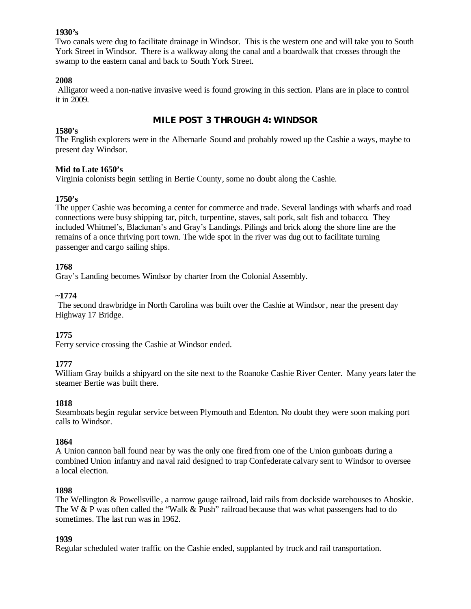## **1930's**

Two canals were dug to facilitate drainage in Windsor. This is the western one and will take you to South York Street in Windsor. There is a walkway along the canal and a boardwalk that crosses through the swamp to the eastern canal and back to South York Street.

# **2008**

Alligator weed a non-native invasive weed is found growing in this section. Plans are in place to control it in 2009.

# **MILE POST 3 THROUGH 4: WINDSOR**

# **1580's**

The English explorers were in the Albemarle Sound and probably rowed up the Cashie a ways, maybe to present day Windsor.

# **Mid to Late 1650's**

Virginia colonists begin settling in Bertie County, some no doubt along the Cashie.

# **1750's**

The upper Cashie was becoming a center for commerce and trade. Several landings with wharfs and road connections were busy shipping tar, pitch, turpentine, staves, salt pork, salt fish and tobacco. They included Whitmel's, Blackman's and Gray's Landings. Pilings and brick along the shore line are the remains of a once thriving port town. The wide spot in the river was dug out to facilitate turning passenger and cargo sailing ships.

# **1768**

Gray's Landing becomes Windsor by charter from the Colonial Assembly.

# **~1774**

The second drawbridge in North Carolina was built over the Cashie at Windsor, near the present day Highway 17 Bridge.

# **1775**

Ferry service crossing the Cashie at Windsor ended.

# **1777**

William Gray builds a shipyard on the site next to the Roanoke Cashie River Center. Many years later the steamer Bertie was built there.

## **1818**

Steamboats begin regular service between Plymouth and Edenton. No doubt they were soon making port calls to Windsor.

## **1864**

A Union cannon ball found near by was the only one fired from one of the Union gunboats during a combined Union infantry and naval raid designed to trap Confederate calvary sent to Windsor to oversee a local election.

## **1898**

The Wellington & Powellsville , a narrow gauge railroad, laid rails from dockside warehouses to Ahoskie. The W & P was often called the "Walk & Push" railroad because that was what passengers had to do sometimes. The last run was in 1962.

## **1939**

Regular scheduled water traffic on the Cashie ended, supplanted by truck and rail transportation.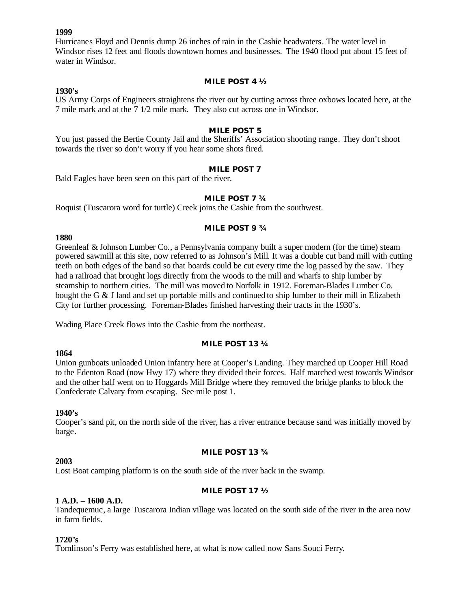### **1999**

Hurricanes Floyd and Dennis dump 26 inches of rain in the Cashie headwaters. The water level in Windsor rises 12 feet and floods downtown homes and businesses. The 1940 flood put about 15 feet of water in Windsor.

#### **MILE POST 4 ½**

## **1930's**

US Army Corps of Engineers straightens the river out by cutting across three oxbows located here, at the 7 mile mark and at the 7 1/2 mile mark. They also cut across one in Windsor.

#### **MILE POST 5**

You just passed the Bertie County Jail and the Sheriffs' Association shooting range. They don't shoot towards the river so don't worry if you hear some shots fired.

### **MILE POST 7**

Bald Eagles have been seen on this part of the river.

#### **MILE POST 7 ¾**

Roquist (Tuscarora word for turtle) Creek joins the Cashie from the southwest.

## **MILE POST 9 ¾**

#### **1880**

Greenleaf & Johnson Lumber Co., a Pennsylvania company built a super modern (for the time) steam powered sawmill at this site, now referred to as Johnson's Mill. It was a double cut band mill with cutting teeth on both edges of the band so that boards could be cut every time the log passed by the saw. They had a railroad that brought logs directly from the woods to the mill and wharfs to ship lumber by steamship to northern cities. The mill was moved to Norfolk in 1912. Foreman-Blades Lumber Co. bought the G & J land and set up portable mills and continued to ship lumber to their mill in Elizabeth City for further processing. Foreman-Blades finished harvesting their tracts in the 1930's.

Wading Place Creek flows into the Cashie from the northeast.

## **MILE POST 13 ¼**

## Union gunboats unloaded Union infantry here at Cooper's Landing. They marched up Cooper Hill Road to the Edenton Road (now Hwy 17) where they divided their forces. Half marched west towards Windsor and the other half went on to Hoggards Mill Bridge where they removed the bridge planks to block the Confederate Calvary from escaping. See mile post 1.

#### **1940's**

**1864**

Cooper's sand pit, on the north side of the river, has a river entrance because sand was initially moved by barge.

#### **MILE POST 13 ¾**

#### **2003**

Lost Boat camping platform is on the south side of the river back in the swamp.

## **MILE POST 17 ½**

## **1 A.D. – 1600 A.D.**

Tandequemuc, a large Tuscarora Indian village was located on the south side of the river in the area now in farm fields.

#### **1720's**

Tomlinson's Ferry was established here, at what is now called now Sans Souci Ferry.